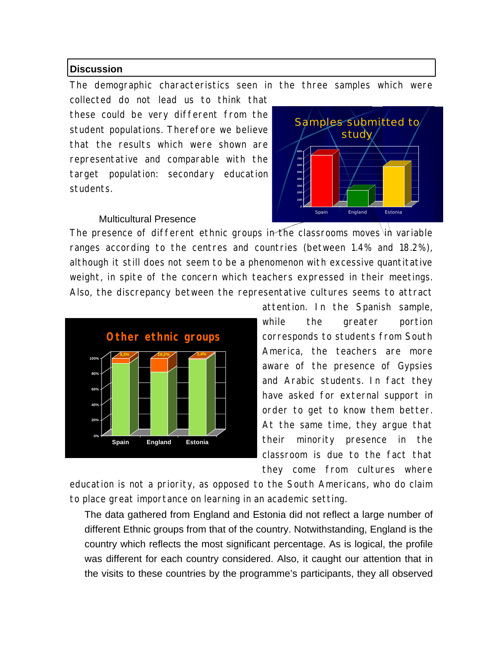## **Discussion**

The demographic characteristics seen in the three samples which were

collected do not lead us to think that these could be very different from the student populations. Therefore we believe that the results which were shown are representative and comparable with the target population: secondary education students.

### Multicultural Presence



The presence of different ethnic groups in the classrooms moves  $\overrightarrow{u}$  variable ranges according to the centres and countries (between 1.4% and 18.2%), although it still does not seem to be a phenomenon with excessive quantitative weight, in spite of the concern which teachers expressed in their meetings. Also, the discrepancy between the representative cultures seems to attract



attention. In the Spanish sample, while the greater portion corresponds to students from South America, the teachers are more aware of the presence of Gypsies and Arabic students. In fact they have asked for external support in order to get to know them better. At the same time, they argue that their minority presence in the classroom is due to the fact that they come from cultures where

education is not a priority, as opposed to the South Americans, who do claim to place great importance on learning in an academic setting.

The data gathered from England and Estonia did not reflect a large number of different Ethnic groups from that of the country. Notwithstanding, England is the country which reflects the most significant percentage. As is logical, the profile was different for each country considered. Also, it caught our attention that in the visits to these countries by the programme's participants, they all observed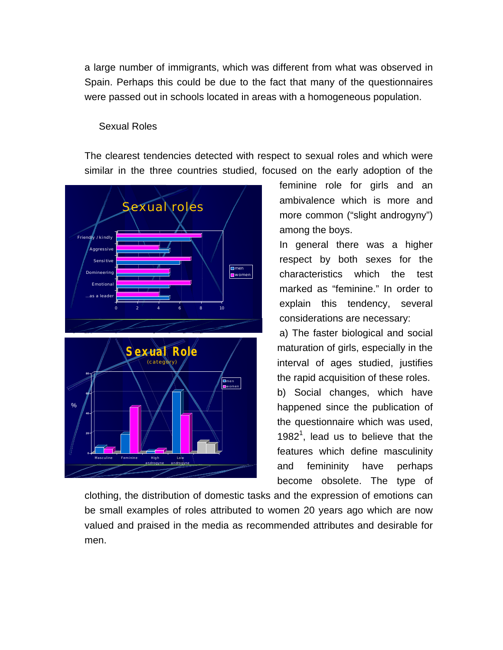a large number of immigrants, which was different from what was observed in Spain. Perhaps this could be due to the fact that many of the questionnaires were passed out in schools located in areas with a homogeneous population.

# Sexual Roles

The clearest tendencies detected with respect to sexual roles and which were similar in the three countries studied, focused on the early adoption of the



feminine role for girls and an ambivalence which is more and more common ("slight androgyny") among the boys.

In general there was a higher respect by both sexes for the characteristics which the test marked as "feminine." In order to explain this tendency, several considerations are necessary:

a) The faster biological and social maturation of girls, especially in the interval of ages studied, justifies the rapid acquisition of these roles. b) Social changes, which have happened since the publication of the questionnaire which was used, 1982<sup>1</sup>, lead us to believe that the features which define masculinity and femininity have perhaps become obsolete. The type of

clothing, the distribution of domestic tasks and the expression of emotions can be small examples of roles attributed to women 20 years ago which are now valued and praised in the media as recommended attributes and desirable for men.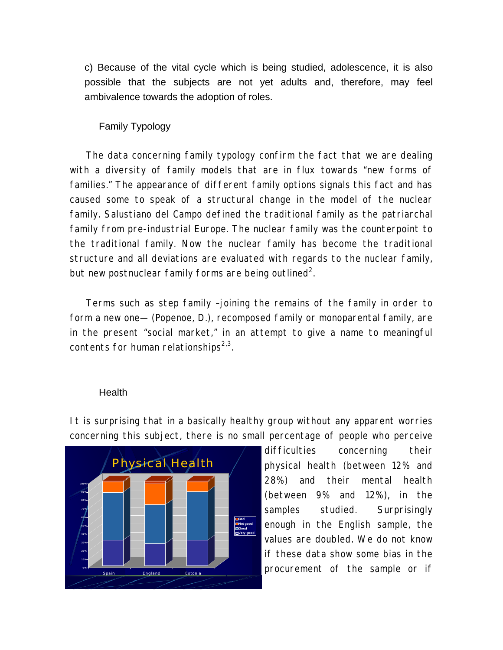c) Because of the vital cycle which is being studied, adolescence, it is also possible that the subjects are not yet adults and, therefore, may feel ambivalence towards the adoption of roles.

# Family Typology

The data concerning family typology confirm the fact that we are dealing with a diversity of family models that are in flux towards "new forms of families." The appearance of different family options signals this fact and has caused some to speak of a structural change in the model of the nuclear family. Salustiano del Campo defined the traditional family as the patriarchal family from pre-industrial Europe. The nuclear family was the counterpoint to the traditional family. Now the nuclear family has become the traditional structure and all deviations are evaluated with regards to the nuclear family, but new postnuclear family forms are being outlined<sup>2</sup>.

Terms such as *step family* –joining the remains of the family in order to form a new one— (Popenoe, D.), *recomposed family* or *monoparental family*, are in the present "social market," in an attempt to give a name to meaningful contents for human relationships $^{2,3}$ .

## **Health**

It is surprising that in a basically healthy group without any apparent worries concerning this subject, there is no small percentage of people who perceive



difficulties concerning their physical health (between 12% and 28%) and their mental health (between 9% and 12%), in the samples studied. Surprisingly enough in the English sample, the values are doubled. We do not know if these data show some bias in the procurement of the sample or if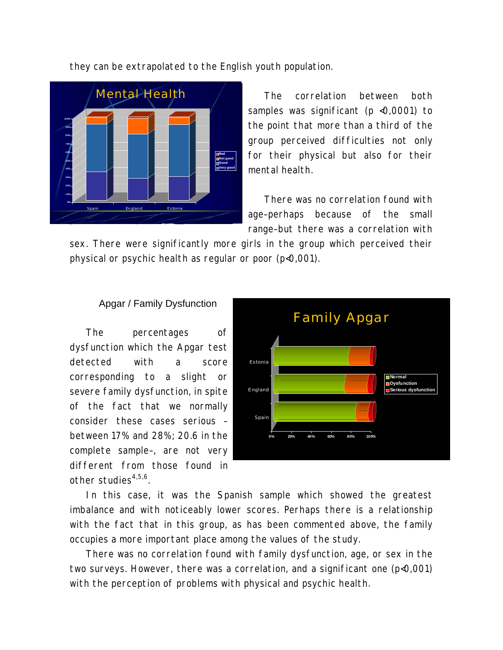they can be extrapolated to the English youth population.



The correlation between both samples was significant (p <0,0001) to the point that more than a third of the group perceived difficulties not only for their physical but also for their mental health.

There was no correlation found with age–perhaps because of the small range–but there was a correlation with

sex. There were significantly more girls in the group which perceived their physical or psychic health as regular or poor (p<0,001).

### Apgar / Family Dysfunction

The percentages of dysfunction which the Apgar test detected with a score corresponding to a slight or severe family dysfunction, in spite of the fact that we normally consider these cases serious – between 17% and 28%; 20.6 in the complete sample–, are not very different from those found in other studies $4,5,6$ .



In this case, it was the Spanish sample which showed the greatest imbalance and with noticeably lower scores. Perhaps there is a relationship with the fact that in this group, as has been commented above, the family occupies a more important place among the values of the study.

There was no correlation found with family dysfunction, age, or sex in the two surveys. However, there was a correlation, and a significant one (p<0,001) with the perception of problems with physical and psychic health.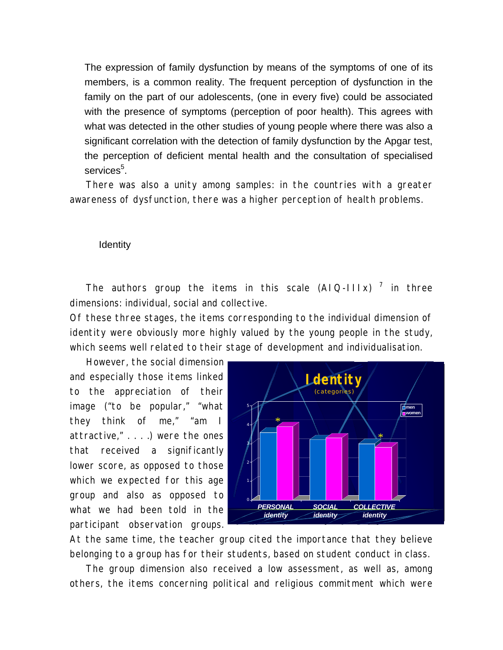The expression of family dysfunction by means of the symptoms of one of its members, is a common reality. The frequent perception of dysfunction in the family on the part of our adolescents, (one in every five) could be associated with the presence of symptoms (perception of poor health). This agrees with what was detected in the other studies of young people where there was also a significant correlation with the detection of family dysfunction by the Apgar test, the perception of deficient mental health and the consultation of specialised services<sup>5</sup>.

There was also a unity among samples: in the countries with a greater awareness of dysfunction, there was a higher perception of health problems.

**Identity** 

The authors group the items in this scale  $(A1Q-111x)^7$  in three dimensions: individual, social and collective.

Of these three stages, the items corresponding to the individual dimension of identity were obviously more highly valued by the young people in the study, which seems well related to their stage of development and individualisation.

However, the social dimension and especially those items linked to the appreciation of their image ("to be popular," "what they think of me," "am I attractive," . . . .) were the ones that received a significantly lower score, as opposed to those which we expected for this age group and also as opposed to what we had been told in the participant observation groups.



At the same time, the teacher group cited the importance that they believe belonging to a group has for their students, based on student conduct in class.

The group dimension also received a low assessment, as well as, among others, the items concerning political and religious commitment which were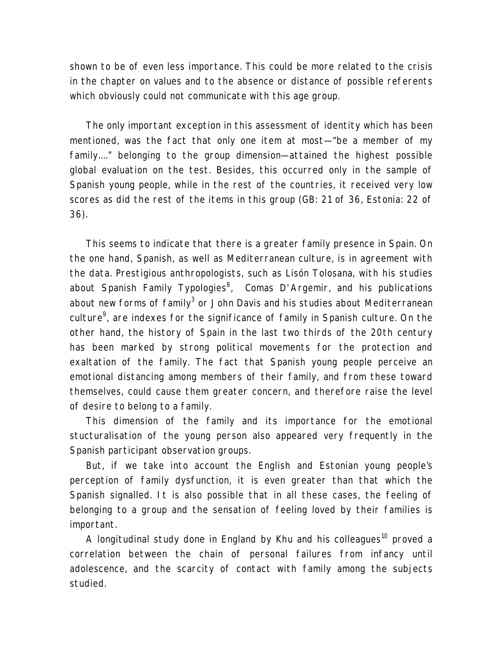shown to be of even less importance. This could be more related to the crisis in the chapter on values and to the absence or distance of possible referents which obviously could not communicate with this age group.

The only important exception in this assessment of identity which has been mentioned, was the fact that only one item at most—"be a member of my family...." belonging to the group dimension—attained the highest possible global evaluation on the test. Besides, this occurred only in the sample of Spanish young people, while in the rest of the countries, it received very low scores as did the rest of the items in this group (GB: 21 of 36, Estonia: 22 of 36).

This seems to indicate that there is a greater family presence in Spain. On the one hand, Spanish, as well as Mediterranean culture, is in agreement with the data. Prestigious anthropologists, such as Lisón Tolosana, with his studies about Spanish Family Typologies<sup>8</sup>, Comas D'Argemir, and his publications about new forms of family $^3$  or John Davis and his studies about Mediterranean culture $^9$ , are indexes for the significance of family in Spanish culture. On the other hand, the history of Spain in the last two thirds of the 20th century has been marked by strong political movements for the protection and exaltation of the family. The fact that Spanish young people perceive an emotional distancing among members of their family, and from these toward themselves, could cause them greater concern, and therefore raise the level of desire to belong to a family.

This dimension of the family and its importance for the emotional stucturalisation of the young person also appeared very frequently in the Spanish participant observation groups.

But, if we take into account the English and Estonian young people's perception of family dysfunction, it is even greater than that which the Spanish signalled. It is also possible that in all these cases, the feeling of belonging to a group and the sensation of feeling loved by their families is important.

A longitudinal study done in England by Khu and his colleagues<sup>10</sup> proved a correlation between the chain of personal failures from infancy until adolescence, and the scarcity of contact with family among the subjects studied.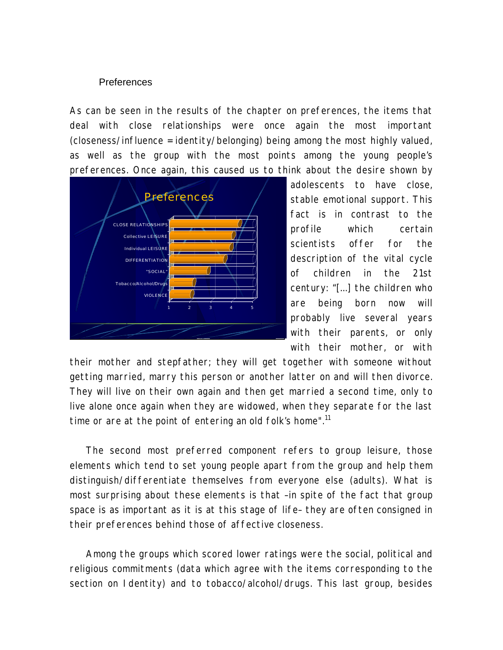### Preferences

As can be seen in the results of the chapter on preferences, the items that deal with close relationships were once again the most important (closeness/influence = identity/belonging) being among the most highly valued, as well as the group with the most points among the young people's preferences. Once again, this caused us to think about the desire shown by



adolescents to have close, stable emotional support. This fact is in contrast to the profile which certain scientists offer for the description of the vital cycle of children in the 21st century: "[...] *the children who are being born now will probably live several years with their parents, or only with their mother, or with*

*their mother and stepfather; they will get together with someone without getting married, marry this person or another latter on and will then divorce. They will live on their own again and then get married a second time, only to live alone once again when they are widowed, when they separate for the last time or are at the point of entering an old folk's home".*<sup>11</sup>

The second most preferred component refers to group leisure, those elements which tend to set young people apart from the group and help them distinguish/differentiate themselves from everyone else (adults). What is most surprising about these elements is that –in spite of the fact that group space is as important as it is at this stage of life– they are often consigned in their preferences behind those of affective closeness.

Among the groups which scored lower ratings were the social, political and religious commitments (data which agree with the items corresponding to the section on Identity) and to tobacco/alcohol/drugs. This last group, besides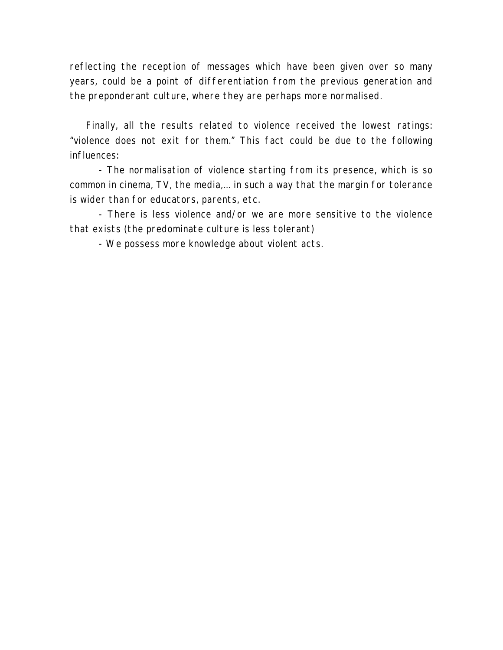reflecting the reception of messages which have been given over so many years, could be a point of differentiation from the previous generation and the preponderant culture, where they are perhaps more normalised.

Finally, all the results related to violence received the lowest ratings: "violence does not exit for them." This fact could be due to the following influences:

- The normalisation of violence starting from its presence, which is so common in cinema, TV, the media,... in such a way that the margin for tolerance is wider than for educators, parents, etc.

- There is less violence and/or we are more sensitive to the violence that exists (the predominate culture is less tolerant)

- We possess more knowledge about violent acts.